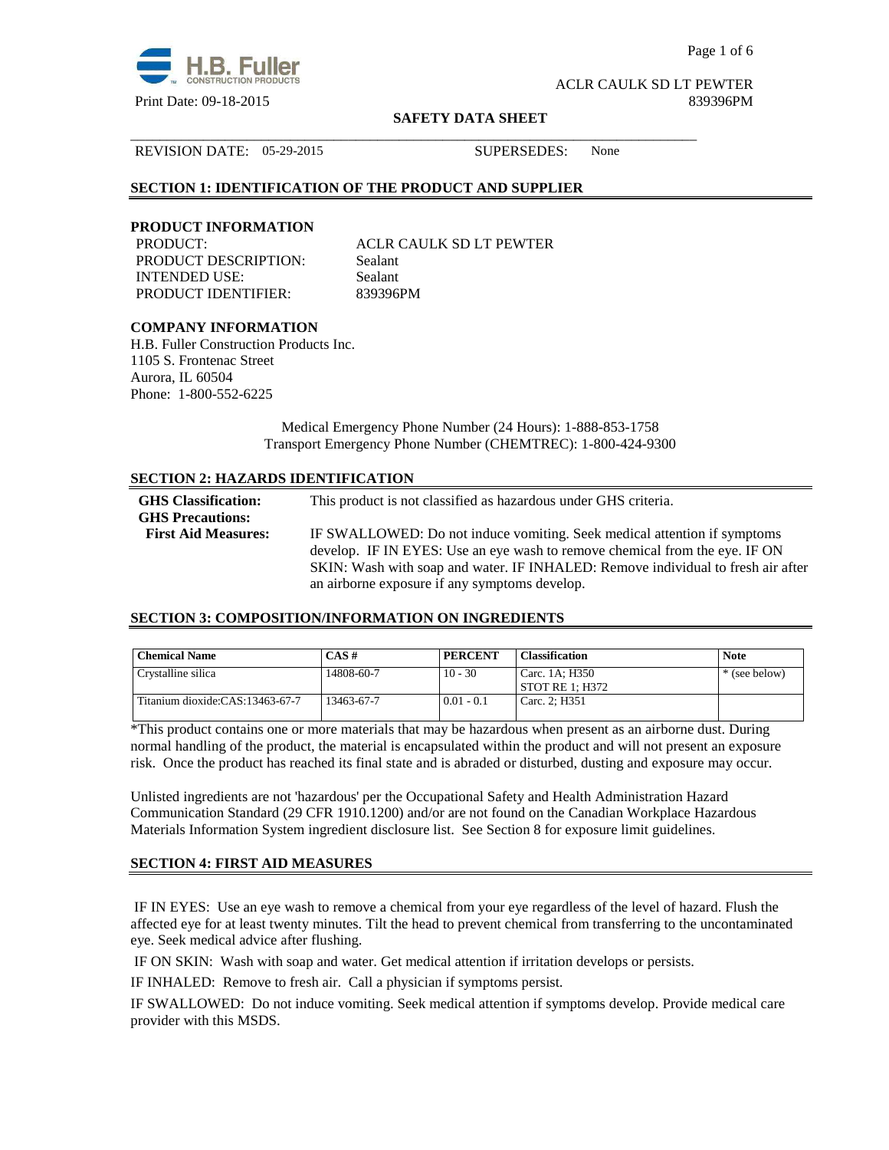

Page 1 of 6

ACLR CAULK SD LT PEWTER Print Date: 09-18-2015 839396PM

#### **SAFETY DATA SHEET**

\_\_\_\_\_\_\_\_\_\_\_\_\_\_\_\_\_\_\_\_\_\_\_\_\_\_\_\_\_\_\_\_\_\_\_\_\_\_\_\_\_\_\_\_\_\_\_\_\_\_\_\_\_\_\_\_\_\_\_\_\_\_\_\_\_\_\_\_\_\_\_\_\_\_\_\_\_\_

REVISION DATE: 05-29-2015 SUPERSEDES: None

# **SECTION 1: IDENTIFICATION OF THE PRODUCT AND SUPPLIER**

#### **PRODUCT INFORMATION**

PRODUCT DESCRIPTION: Sealant INTENDED USE: Sealant PRODUCT IDENTIFIER: 839396PM

PRODUCT: ACLR CAULK SD LT PEWTER

# **COMPANY INFORMATION**

H.B. Fuller Construction Products Inc. 1105 S. Frontenac Street Aurora, IL 60504 Phone: 1-800-552-6225

> Medical Emergency Phone Number (24 Hours): 1-888-853-1758 Transport Emergency Phone Number (CHEMTREC): 1-800-424-9300

# **SECTION 2: HAZARDS IDENTIFICATION**

| <b>GHS</b> Classification:<br><b>GHS Precautions:</b> | This product is not classified as hazardous under GHS criteria.                                                                                                 |
|-------------------------------------------------------|-----------------------------------------------------------------------------------------------------------------------------------------------------------------|
| <b>First Aid Measures:</b>                            | IF SWALLOWED: Do not induce vomiting. Seek medical attention if symptoms                                                                                        |
|                                                       | develop. IF IN EYES: Use an eye wash to remove chemical from the eye. IF ON<br>SKIN: Wash with soap and water. IF INHALED: Remove individual to fresh air after |
|                                                       | an airborne exposure if any symptoms develop.                                                                                                                   |

#### **SECTION 3: COMPOSITION/INFORMATION ON INGREDIENTS**

| <b>Chemical Name</b>            | $CAS \#$   | <b>PERCENT</b> | <b>Classification</b>               | <b>Note</b>   |
|---------------------------------|------------|----------------|-------------------------------------|---------------|
| Crystalline silica              | 14808-60-7 | $10 - 30$      | Carc. 1A: H350<br>' STOT RE 1: H372 | * (see below) |
| Titanium dioxide:CAS:13463-67-7 | 13463-67-7 | $0.01 - 0.1$   | Carc. 2: H351                       |               |

\*This product contains one or more materials that may be hazardous when present as an airborne dust. During normal handling of the product, the material is encapsulated within the product and will not present an exposure risk. Once the product has reached its final state and is abraded or disturbed, dusting and exposure may occur.

Unlisted ingredients are not 'hazardous' per the Occupational Safety and Health Administration Hazard Communication Standard (29 CFR 1910.1200) and/or are not found on the Canadian Workplace Hazardous Materials Information System ingredient disclosure list. See Section 8 for exposure limit guidelines.

# **SECTION 4: FIRST AID MEASURES**

 IF IN EYES: Use an eye wash to remove a chemical from your eye regardless of the level of hazard. Flush the affected eye for at least twenty minutes. Tilt the head to prevent chemical from transferring to the uncontaminated eye. Seek medical advice after flushing.

IF ON SKIN: Wash with soap and water. Get medical attention if irritation develops or persists.

IF INHALED: Remove to fresh air. Call a physician if symptoms persist.

IF SWALLOWED:Do not induce vomiting. Seek medical attention if symptoms develop. Provide medical care provider with this MSDS.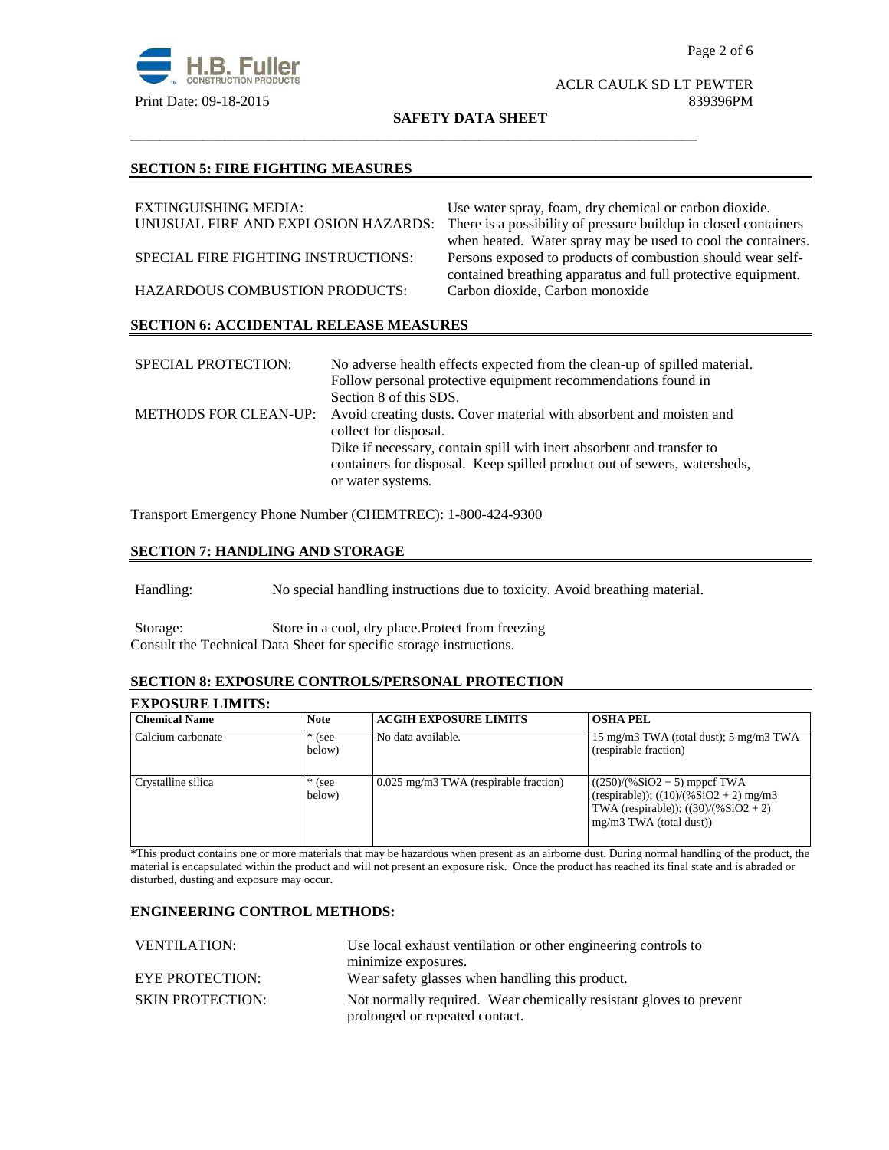

**SAFETY DATA SHEET**

\_\_\_\_\_\_\_\_\_\_\_\_\_\_\_\_\_\_\_\_\_\_\_\_\_\_\_\_\_\_\_\_\_\_\_\_\_\_\_\_\_\_\_\_\_\_\_\_\_\_\_\_\_\_\_\_\_\_\_\_\_\_\_\_\_\_\_\_\_\_\_\_\_\_\_\_\_\_

#### **SECTION 5: FIRE FIGHTING MEASURES**

| EXTINGUISHING MEDIA:                          | Use water spray, foam, dry chemical or carbon dioxide.                                                                      |
|-----------------------------------------------|-----------------------------------------------------------------------------------------------------------------------------|
| UNUSUAL FIRE AND EXPLOSION HAZARDS:           | There is a possibility of pressure buildup in closed containers                                                             |
|                                               | when heated. Water spray may be used to cool the containers.                                                                |
| SPECIAL FIRE FIGHTING INSTRUCTIONS:           | Persons exposed to products of combustion should wear self-<br>contained breathing apparatus and full protective equipment. |
|                                               |                                                                                                                             |
| <b>HAZARDOUS COMBUSTION PRODUCTS:</b>         | Carbon dioxide, Carbon monoxide                                                                                             |
| <b>SECTION 6: ACCIDENTAL RELEASE MEASURES</b> |                                                                                                                             |

| <b>SPECIAL PROTECTION:</b> | No adverse health effects expected from the clean-up of spilled material.                 |
|----------------------------|-------------------------------------------------------------------------------------------|
|                            | Follow personal protective equipment recommendations found in                             |
|                            | Section 8 of this SDS.                                                                    |
|                            | METHODS FOR CLEAN-UP: Avoid creating dusts. Cover material with absorbent and moisten and |
|                            | collect for disposal.                                                                     |
|                            | Dike if necessary, contain spill with inert absorbent and transfer to                     |
|                            | containers for disposal. Keep spilled product out of sewers, watersheds,                  |
|                            | or water systems.                                                                         |

Transport Emergency Phone Number (CHEMTREC): 1-800-424-9300

# **SECTION 7: HANDLING AND STORAGE**

Handling: No special handling instructions due to toxicity. Avoid breathing material.

Storage: Store in a cool, dry place.Protect from freezing Consult the Technical Data Sheet for specific storage instructions.

# **SECTION 8: EXPOSURE CONTROLS/PERSONAL PROTECTION**

# **EXPOSURE LIMITS:**

| <b>Chemical Name</b> | <b>Note</b>        | <b>ACGIH EXPOSURE LIMITS</b>            | <b>OSHA PEL</b>                                                                                                                                    |
|----------------------|--------------------|-----------------------------------------|----------------------------------------------------------------------------------------------------------------------------------------------------|
| Calcium carbonate    | $*$ (see<br>below) | No data available.                      | 15 mg/m3 TWA (total dust); 5 mg/m3 TWA<br>(respirable fraction)                                                                                    |
| Crystalline silica   | $*$ (see<br>below) | $0.025$ mg/m3 TWA (respirable fraction) | $((250)/(%SiO2 + 5)$ mppcf TWA<br>(respirable)); $((10)/(%SiO2 + 2)$ mg/m3<br>TWA (respirable)); $((30)/(%SiO2 + 2))$<br>$mg/m3$ TWA (total dust)) |

\*This product contains one or more materials that may be hazardous when present as an airborne dust. During normal handling of the product, the material is encapsulated within the product and will not present an exposure risk. Once the product has reached its final state and is abraded or disturbed, dusting and exposure may occur.

#### **ENGINEERING CONTROL METHODS:**

| VENTILATION:            | Use local exhaust ventilation or other engineering controls to     |  |
|-------------------------|--------------------------------------------------------------------|--|
|                         | minimize exposures.                                                |  |
| <b>EYE PROTECTION:</b>  | Wear safety glasses when handling this product.                    |  |
| <b>SKIN PROTECTION:</b> | Not normally required. Wear chemically resistant gloves to prevent |  |
|                         | prolonged or repeated contact.                                     |  |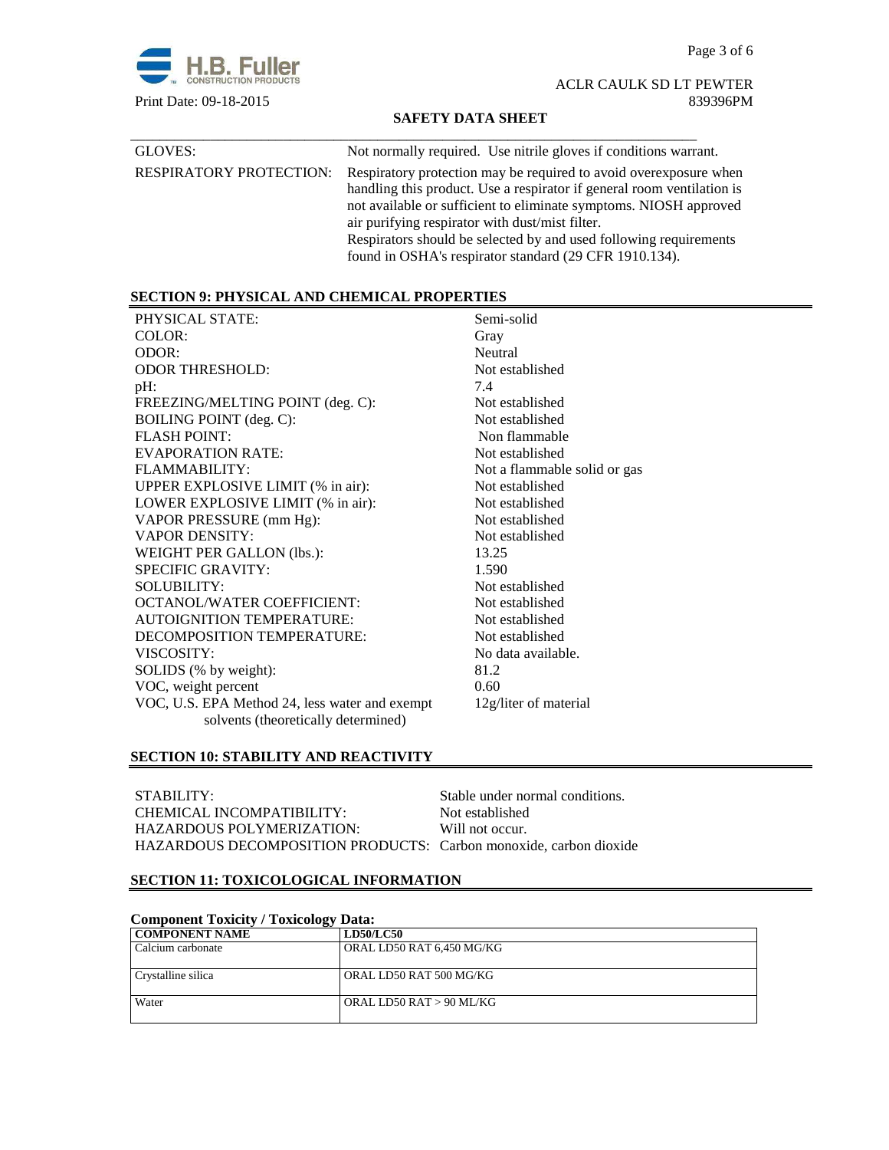Page 3 of 6



ACLR CAULK SD LT PEWTER Print Date: 09-18-2015 839396PM

## **SAFETY DATA SHEET**

| GLOVES:                        | Not normally required. Use nitrile gloves if conditions warrant.                                                                                                                                                                                                                                                                                                                                    |
|--------------------------------|-----------------------------------------------------------------------------------------------------------------------------------------------------------------------------------------------------------------------------------------------------------------------------------------------------------------------------------------------------------------------------------------------------|
| <b>RESPIRATORY PROTECTION:</b> | Respiratory protection may be required to avoid over exposure when<br>handling this product. Use a respirator if general room ventilation is<br>not available or sufficient to eliminate symptoms. NIOSH approved<br>air purifying respirator with dust/mist filter.<br>Respirators should be selected by and used following requirements<br>found in OSHA's respirator standard (29 CFR 1910.134). |

# **SECTION 9: PHYSICAL AND CHEMICAL PROPERTIES**

| PHYSICAL STATE:                                | Semi-solid                   |
|------------------------------------------------|------------------------------|
| COLOR:                                         | Gray                         |
| ODOR:                                          | Neutral                      |
| <b>ODOR THRESHOLD:</b>                         | Not established              |
| pH:                                            | 7.4                          |
| FREEZING/MELTING POINT (deg. C):               | Not established              |
| <b>BOILING POINT</b> (deg. C):                 | Not established              |
| <b>FLASH POINT:</b>                            | Non flammable                |
| EVAPORATION RATE:                              | Not established              |
| FLAMMABILITY:                                  | Not a flammable solid or gas |
| UPPER EXPLOSIVE LIMIT (% in air):              | Not established              |
| LOWER EXPLOSIVE LIMIT (% in air):              | Not established              |
| VAPOR PRESSURE (mm Hg):                        | Not established              |
| <b>VAPOR DENSITY:</b>                          | Not established              |
| WEIGHT PER GALLON (lbs.):                      | 13.25                        |
| <b>SPECIFIC GRAVITY:</b>                       | 1.590                        |
| <b>SOLUBILITY:</b>                             | Not established              |
| <b>OCTANOL/WATER COEFFICIENT:</b>              | Not established              |
| <b>AUTOIGNITION TEMPERATURE:</b>               | Not established              |
| DECOMPOSITION TEMPERATURE:                     | Not established              |
| VISCOSITY:                                     | No data available.           |
| SOLIDS (% by weight):                          | 81.2                         |
| VOC, weight percent                            | 0.60                         |
| VOC, U.S. EPA Method 24, less water and exempt | 12g/liter of material        |
| solvents (theoretically determined)            |                              |

# **SECTION 10: STABILITY AND REACTIVITY**

| STABILITY:                                                        | Stable under normal conditions. |
|-------------------------------------------------------------------|---------------------------------|
| CHEMICAL INCOMPATIBILITY:                                         | Not established                 |
| HAZARDOUS POLYMERIZATION:                                         | Will not occur.                 |
| HAZARDOUS DECOMPOSITION PRODUCTS: Carbon monoxide, carbon dioxide |                                 |

# **SECTION 11: TOXICOLOGICAL INFORMATION**

| <b>Component Toxicity / Toxicology Data:</b> |                           |  |
|----------------------------------------------|---------------------------|--|
| <b>COMPONENT NAME</b>                        | <b>LD50/LC50</b>          |  |
| Calcium carbonate                            | ORAL LD50 RAT 6,450 MG/KG |  |
| Crystalline silica                           | ORAL LD50 RAT 500 MG/KG   |  |
| Water                                        | ORAL LD50 RAT > 90 ML/KG  |  |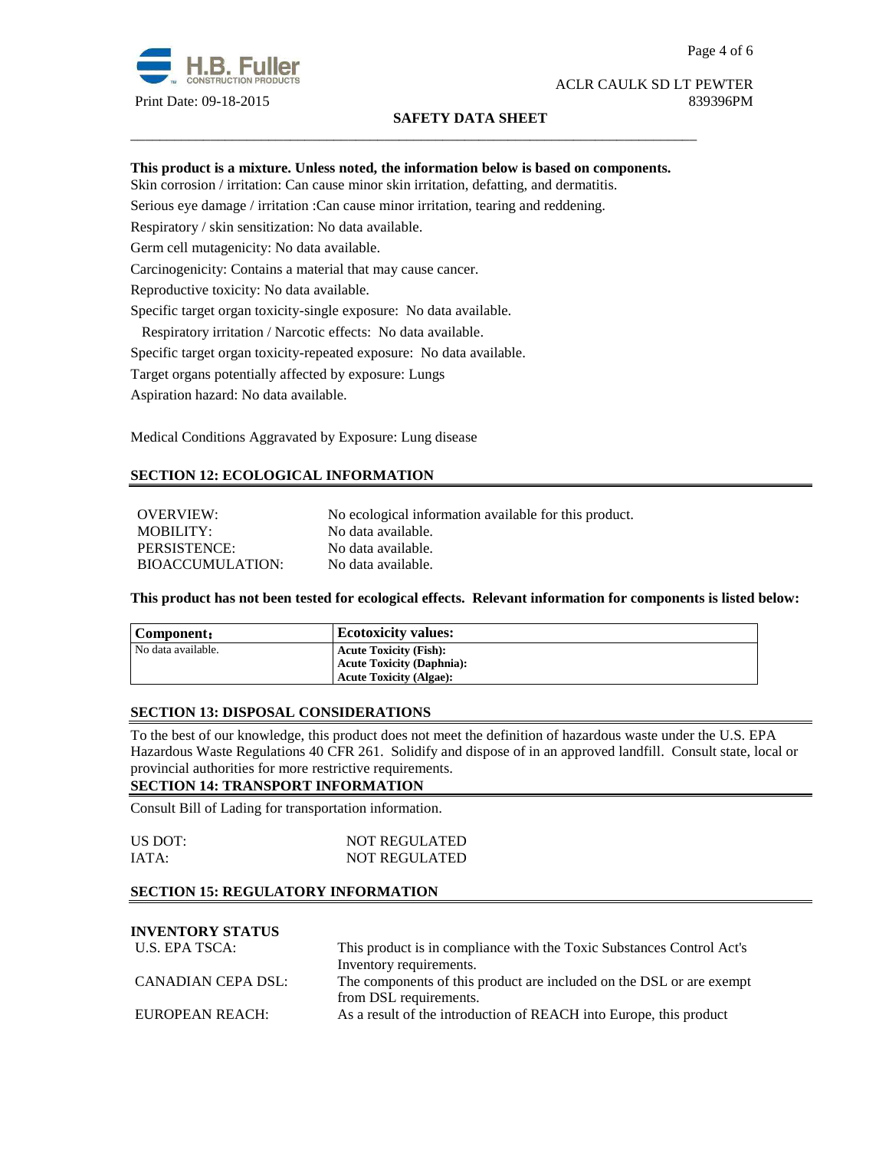

# **SAFETY DATA SHEET**

# **This product is a mixture. Unless noted, the information below is based on components.**

\_\_\_\_\_\_\_\_\_\_\_\_\_\_\_\_\_\_\_\_\_\_\_\_\_\_\_\_\_\_\_\_\_\_\_\_\_\_\_\_\_\_\_\_\_\_\_\_\_\_\_\_\_\_\_\_\_\_\_\_\_\_\_\_\_\_\_\_\_\_\_\_\_\_\_\_\_\_

Skin corrosion / irritation: Can cause minor skin irritation, defatting, and dermatitis.

Serious eye damage / irritation :Can cause minor irritation, tearing and reddening.

Respiratory / skin sensitization: No data available.

Germ cell mutagenicity: No data available.

Carcinogenicity: Contains a material that may cause cancer.

Reproductive toxicity: No data available.

Specific target organ toxicity-single exposure:No data available.

Respiratory irritation / Narcotic effects: No data available.

Specific target organ toxicity-repeated exposure:No data available.

Target organs potentially affected by exposure: Lungs

Aspiration hazard: No data available.

Medical Conditions Aggravated by Exposure: Lung disease

# **SECTION 12: ECOLOGICAL INFORMATION**

OVERVIEW: No ecological information available for this product. MOBILITY: No data available. PERSISTENCE: No data available. BIOACCUMULATION: No data available.

**This product has not been tested for ecological effects. Relevant information for components is listed below:** 

| Component:         | <b>Ecotoxicity values:</b>       |
|--------------------|----------------------------------|
| No data available. | <b>Acute Toxicity (Fish):</b>    |
|                    | <b>Acute Toxicity (Daphnia):</b> |
|                    | <b>Acute Toxicity (Algae):</b>   |

#### **SECTION 13: DISPOSAL CONSIDERATIONS**

To the best of our knowledge, this product does not meet the definition of hazardous waste under the U.S. EPA Hazardous Waste Regulations 40 CFR 261. Solidify and dispose of in an approved landfill. Consult state, local or provincial authorities for more restrictive requirements.

#### **SECTION 14: TRANSPORT INFORMATION**

Consult Bill of Lading for transportation information.

| US DOT: | <b>NOT REGULATED</b> |
|---------|----------------------|
| IATA:   | <b>NOT REGULATED</b> |

## **SECTION 15: REGULATORY INFORMATION**

# **INVENTORY STATUS**

| U.S. EPA TSCA:     | This product is in compliance with the Toxic Substances Control Act's |  |
|--------------------|-----------------------------------------------------------------------|--|
|                    | Inventory requirements.                                               |  |
| CANADIAN CEPA DSL: | The components of this product are included on the DSL or are exempt  |  |
|                    | from DSL requirements.                                                |  |
| EUROPEAN REACH:    | As a result of the introduction of REACH into Europe, this product    |  |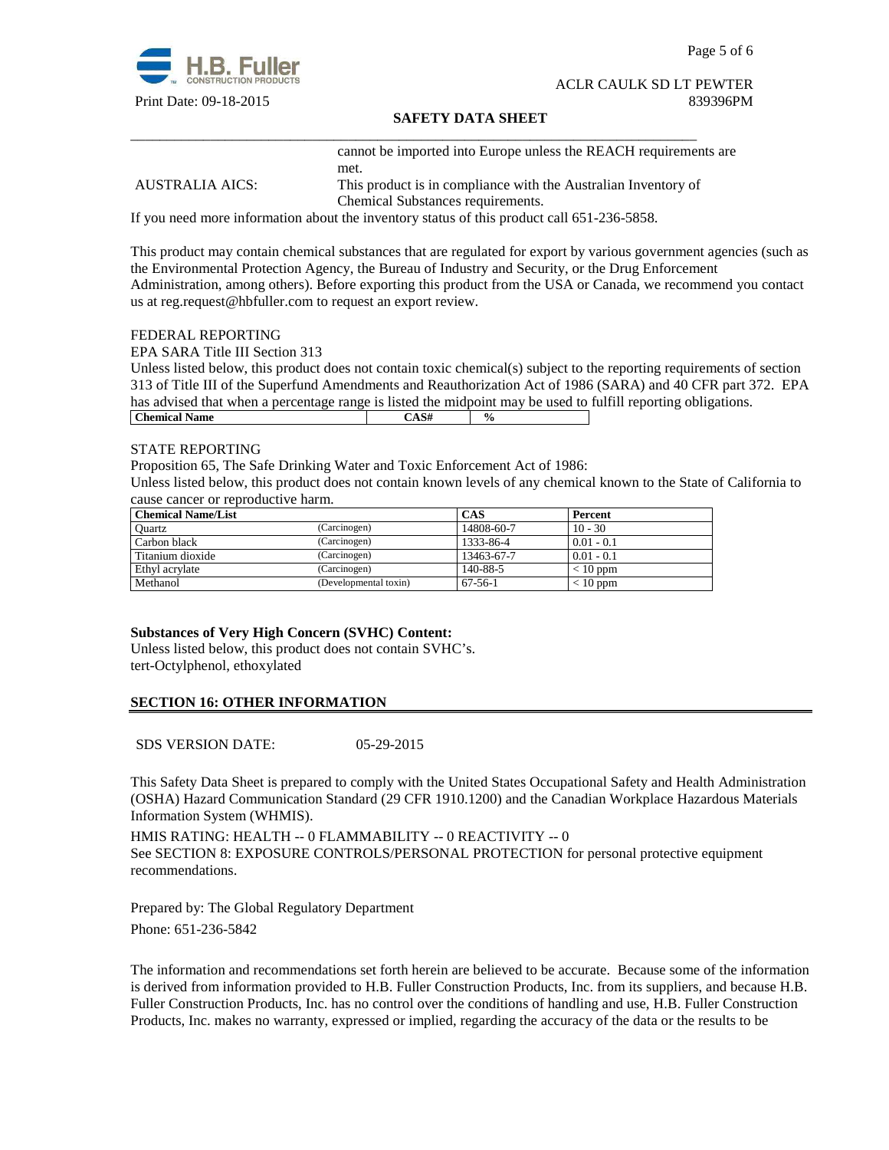

#### **SAFETY DATA SHEET**

cannot be imported into Europe unless the REACH requirements are met.

AUSTRALIA AICS: This product is in compliance with the Australian Inventory of Chemical Substances requirements.

If you need more information about the inventory status of this product call 651-236-5858.

\_\_\_\_\_\_\_\_\_\_\_\_\_\_\_\_\_\_\_\_\_\_\_\_\_\_\_\_\_\_\_\_\_\_\_\_\_\_\_\_\_\_\_\_\_\_\_\_\_\_\_\_\_\_\_\_\_\_\_\_\_\_\_\_\_\_\_\_\_\_\_\_\_\_\_\_\_\_

This product may contain chemical substances that are regulated for export by various government agencies (such as the Environmental Protection Agency, the Bureau of Industry and Security, or the Drug Enforcement Administration, among others). Before exporting this product from the USA or Canada, we recommend you contact us at reg.request@hbfuller.com to request an export review.

#### FEDERAL REPORTING

EPA SARA Title III Section 313

Unless listed below, this product does not contain toxic chemical(s) subject to the reporting requirements of section 313 of Title III of the Superfund Amendments and Reauthorization Act of 1986 (SARA) and 40 CFR part 372. EPA has advised that when a percentage range is listed the midpoint may be used to fulfill reporting obligations. **Chemical Name**  $\qquad \qquad$   $\qquad \qquad$   $\qquad \qquad$   $\qquad \qquad$   $\qquad \qquad$   $\qquad \qquad$   $\qquad \qquad$   $\qquad \qquad$   $\qquad \qquad$   $\qquad \qquad$   $\qquad \qquad$   $\qquad \qquad$   $\qquad \qquad$   $\qquad \qquad$   $\qquad \qquad$   $\qquad \qquad$   $\qquad \qquad$   $\qquad \qquad$   $\qquad \qquad$   $\qquad \qquad$   $\qquad \qquad$   $\qquad \qquad$   $\qquad \qquad$ 

#### STATE REPORTING

Proposition 65, The Safe Drinking Water and Toxic Enforcement Act of 1986:

Unless listed below, this product does not contain known levels of any chemical known to the State of California to cause cancer or reproductive harm.

| <b>Chemical Name/List</b> |                       | CAS           | Percent      |
|---------------------------|-----------------------|---------------|--------------|
| Ouartz                    | (Carcinogen)          | 14808-60-7    | $10 - 30$    |
| Carbon black              | (Carcinogen)          | 1333-86-4     | $0.01 - 0.1$ |
| Titanium dioxide          | (Carcinogen)          | 13463-67-7    | $0.01 - 0.1$ |
| Ethyl acrylate            | (Carcinogen)          | 140-88-5      | $< 10$ ppm   |
| Methanol                  | (Developmental toxin) | $67 - 56 - 1$ | $< 10$ ppm   |

# **Substances of Very High Concern (SVHC) Content:**

Unless listed below, this product does not contain SVHC's. tert-Octylphenol, ethoxylated

# **SECTION 16: OTHER INFORMATION**

SDS VERSION DATE: 05-29-2015

This Safety Data Sheet is prepared to comply with the United States Occupational Safety and Health Administration (OSHA) Hazard Communication Standard (29 CFR 1910.1200) and the Canadian Workplace Hazardous Materials Information System (WHMIS).

HMIS RATING: HEALTH -- 0 FLAMMABILITY -- 0 REACTIVITY -- 0 See SECTION 8: EXPOSURE CONTROLS/PERSONAL PROTECTION for personal protective equipment recommendations.

Prepared by: The Global Regulatory Department Phone: 651-236-5842

The information and recommendations set forth herein are believed to be accurate. Because some of the information is derived from information provided to H.B. Fuller Construction Products, Inc. from its suppliers, and because H.B. Fuller Construction Products, Inc. has no control over the conditions of handling and use, H.B. Fuller Construction Products, Inc. makes no warranty, expressed or implied, regarding the accuracy of the data or the results to be